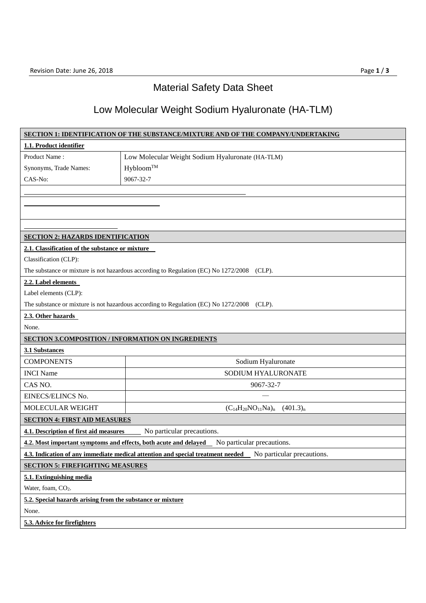## Material Safety Data Sheet

## Low Molecular Weight Sodium Hyaluronate (HA-TLM)

| <b>SECTION 1: IDENTIFICATION OF THE SUBSTANCE/MIXTURE AND OF THE COMPANY/UNDERTAKING</b>   |                                                                                                            |  |
|--------------------------------------------------------------------------------------------|------------------------------------------------------------------------------------------------------------|--|
| 1.1. Product identifier                                                                    |                                                                                                            |  |
| Product Name:                                                                              | Low Molecular Weight Sodium Hyaluronate (HA-TLM)                                                           |  |
| Synonyms, Trade Names:                                                                     | Hybloom™                                                                                                   |  |
| CAS-No:                                                                                    | 9067-32-7                                                                                                  |  |
|                                                                                            |                                                                                                            |  |
|                                                                                            |                                                                                                            |  |
|                                                                                            |                                                                                                            |  |
|                                                                                            |                                                                                                            |  |
| <b>SECTION 2: HAZARDS IDENTIFICATION</b>                                                   |                                                                                                            |  |
| 2.1. Classification of the substance or mixture                                            |                                                                                                            |  |
| Classification (CLP):                                                                      |                                                                                                            |  |
| The substance or mixture is not hazardous according to Regulation (EC) No 1272/2008 (CLP). |                                                                                                            |  |
| 2.2. Label elements                                                                        |                                                                                                            |  |
| Label elements (CLP):                                                                      |                                                                                                            |  |
| The substance or mixture is not hazardous according to Regulation (EC) No 1272/2008 (CLP). |                                                                                                            |  |
| 2.3. Other hazards                                                                         |                                                                                                            |  |
| None.                                                                                      |                                                                                                            |  |
| <b>SECTION 3.COMPOSITION / INFORMATION ON INGREDIENTS</b>                                  |                                                                                                            |  |
| 3.1 Substances                                                                             |                                                                                                            |  |
| <b>COMPONENTS</b>                                                                          | Sodium Hyaluronate                                                                                         |  |
| <b>INCI</b> Name                                                                           | SODIUM HYALURONATE                                                                                         |  |
| CAS NO.                                                                                    | 9067-32-7                                                                                                  |  |
| EINECS/ELINCS No.                                                                          |                                                                                                            |  |
| MOLECULAR WEIGHT                                                                           | $(C_{14}H_{20}NO_{11}Na)_{n}$ (401.3) <sub>n</sub>                                                         |  |
| <b>SECTION 4: FIRST AID MEASURES</b>                                                       |                                                                                                            |  |
| 4.1. Description of first aid measures                                                     | No particular precautions.                                                                                 |  |
| 4.2. Most important symptoms and effects, both acute and delayed                           | No particular precautions.                                                                                 |  |
|                                                                                            | 4.3. Indication of any immediate medical attention and special treatment needed No particular precautions. |  |
| <b>SECTION 5: FIREFIGHTING MEASURES</b>                                                    |                                                                                                            |  |
| 5.1. Extinguishing media                                                                   |                                                                                                            |  |
| Water, foam, CO <sub>2</sub> .                                                             |                                                                                                            |  |
| 5.2. Special hazards arising from the substance or mixture                                 |                                                                                                            |  |
| None.                                                                                      |                                                                                                            |  |
| 5.3. Advice for firefighters                                                               |                                                                                                            |  |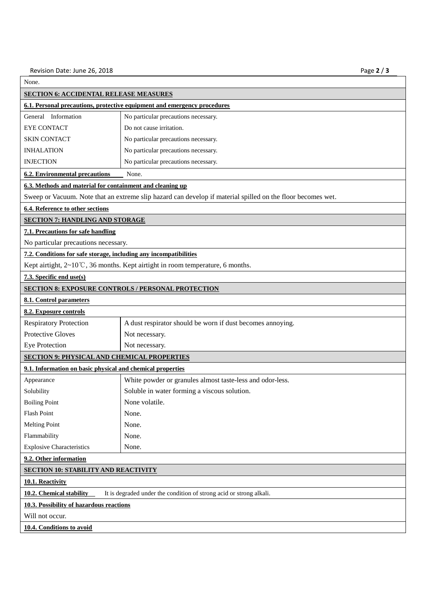| None.                                                                                           |                                                                                                             |  |  |
|-------------------------------------------------------------------------------------------------|-------------------------------------------------------------------------------------------------------------|--|--|
| <b>SECTION 6: ACCIDENTAL RELEASE MEASURES</b>                                                   |                                                                                                             |  |  |
| 6.1. Personal precautions, protective equipment and emergency procedures                        |                                                                                                             |  |  |
| General Information                                                                             | No particular precautions necessary.                                                                        |  |  |
| <b>EYE CONTACT</b>                                                                              | Do not cause irritation.                                                                                    |  |  |
| <b>SKIN CONTACT</b>                                                                             | No particular precautions necessary.                                                                        |  |  |
| <b>INHALATION</b>                                                                               | No particular precautions necessary.                                                                        |  |  |
| <b>INJECTION</b>                                                                                | No particular precautions necessary.                                                                        |  |  |
| <b>6.2. Environmental precautions</b><br>None.                                                  |                                                                                                             |  |  |
| 6.3. Methods and material for containment and cleaning up                                       |                                                                                                             |  |  |
|                                                                                                 | Sweep or Vacuum. Note that an extreme slip hazard can develop if material spilled on the floor becomes wet. |  |  |
| 6.4. Reference to other sections                                                                |                                                                                                             |  |  |
| <b>SECTION 7: HANDLING AND STORAGE</b>                                                          |                                                                                                             |  |  |
| 7.1. Precautions for safe handling                                                              |                                                                                                             |  |  |
| No particular precautions necessary.                                                            |                                                                                                             |  |  |
| 7.2. Conditions for safe storage, including any incompatibilities                               |                                                                                                             |  |  |
|                                                                                                 | Kept airtight, $2~10^{\circ}$ C, 36 months. Kept airtight in room temperature, 6 months.                    |  |  |
| 7.3. Specific end use(s)                                                                        |                                                                                                             |  |  |
|                                                                                                 | <b>SECTION 8: EXPOSURE CONTROLS / PERSONAL PROTECTION</b>                                                   |  |  |
| 8.1. Control parameters                                                                         |                                                                                                             |  |  |
| 8.2. Exposure controls                                                                          |                                                                                                             |  |  |
| <b>Respiratory Protection</b>                                                                   | A dust respirator should be worn if dust becomes annoying.                                                  |  |  |
| <b>Protective Gloves</b>                                                                        | Not necessary.                                                                                              |  |  |
| <b>Eye Protection</b>                                                                           | Not necessary.                                                                                              |  |  |
| <b>SECTION 9: PHYSICAL AND CHEMICAL PROPERTIES</b>                                              |                                                                                                             |  |  |
| 9.1. Information on basic physical and chemical properties                                      |                                                                                                             |  |  |
| Appearance                                                                                      | White powder or granules almost taste-less and odor-less.                                                   |  |  |
| Solubility                                                                                      | Soluble in water forming a viscous solution.                                                                |  |  |
| <b>Boiling Point</b>                                                                            | None volatile.                                                                                              |  |  |
| Flash Point                                                                                     | None.                                                                                                       |  |  |
| <b>Melting Point</b>                                                                            | None.                                                                                                       |  |  |
| Flammability                                                                                    | None.                                                                                                       |  |  |
| <b>Explosive Characteristics</b>                                                                | None.                                                                                                       |  |  |
| 9.2. Other information                                                                          |                                                                                                             |  |  |
| <b>SECTION 10: STABILITY AND REACTIVITY</b>                                                     |                                                                                                             |  |  |
| 10.1. Reactivity                                                                                |                                                                                                             |  |  |
| It is degraded under the condition of strong acid or strong alkali.<br>10.2. Chemical stability |                                                                                                             |  |  |
| 10.3. Possibility of hazardous reactions                                                        |                                                                                                             |  |  |
| Will not occur.                                                                                 |                                                                                                             |  |  |
| 10.4. Conditions to avoid                                                                       |                                                                                                             |  |  |